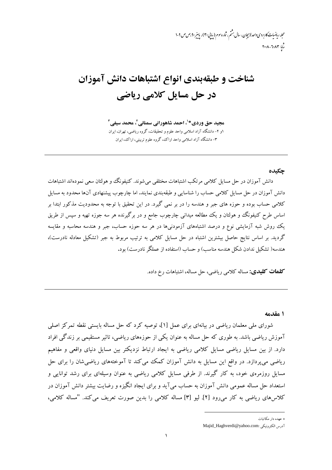مجله ریاضیات کاربردی واحد لاسچان ، سال نهشم ، شاره سوم (بیایی ۳۰) ، پاییز ۹۰) مص ص ۹-۱  $T - \lambda - T - \lambda T$ 

# شناخت و طبقهبندی انواع اشتباهات دانش آموزان در حل مسایل کلامی ریاضی

مجید حق وردی\*'، احمد شاهورانی سمنانی<sup>2</sup>، محمد سیفی آ ۱و ۲- دانشگاه آزاد اسلامی واحد علوم و تحقیقات، گروه ریاضی، تهران، ایران ۳- دانشگاه آزاد اسلامی واحد اراک، گروه علوم تربیتی، اراک، ایران

#### حكىدە

دانش آموزان در حل مسایل کلامی مرتکب اشتباهات مختلفی میشوند. کنیفونگ و هولتان سعی نمودهاند اشتباهات دانش آموزان در حل مسایل کلامی حساب را شناسایی و طبقهبندی نمایند. اما چارچوب پیشنهادی آنها محدود به مسایل کلامی حساب بوده و حوزه های جبر و هندسه را در بر نمی گیرد. در این تحقیق با توجه به محدودیت مذکور ابتدا بر اساس طرح کنیفونگ و هولتان و یک مطالعه میدانی چارچوب جامع و در برگیرنده هر سه جوزه تهیه و سپس از طریق یک روش شبه آزمایشی نوع و درصد اشتباههای آزمودنیها در هر سه حوزه حساب، جبر و هندسه محاسبه و مقایسه گردید. بر اساس نتایج حاصل بیشترین اشتباه در حل مسایل کلامی به ترتیب مربوط به جبر (تشکیل معادله نادرست)، هندسه( تشکیل ندادن شکل هندسه مناسب) و حساب (استفاده از عملگر نادرست) بود.

**کلمات کلیدی:** مساله کلامی ریاضی، حل مساله، اشتباهات رخ داده.

#### 1 مقدمه

شورای ملی معلمان ریاضی در بیانهای برای عمل [۱]، توصیه کرد که حل مساله بایستی نقطه تمرکز اصلی آموزش ریاضی باشد. به طوری که حل مساله به عنوان یکی از حوزههای ریاضی، تاثیر مستقیمی بر زندگی افراد دارد. از بین مسایل ریاضی مسایل کلامی ریاضی به ایجاد ارتباط نزدیکتر بین مسایل دنیای واقعی و مفاهیم ریاضی می پردازد. در واقع این مسایل به دانش آموزان کمک می کند تا آموختههای ریاضی شان را برای حل مسایل روزمرهی خود، به کار گیرند. از طرفی مسایل کلامی ریاضی به عنوان وسیلهای برای رشد توانایی و استعداد حل مساله عمومی دانش آموزان به حساب می آید و برای ایجاد انگیزه و رضایت بیشتر دانش آموزان در كلاسهاى رياضي به كار مى رود [٢]. ليو [٣] مساله كلامى را بدين صورت تعريف مى كند. "مساله كلامى،

<sup>\*</sup> عهده دار مکاتبات

آدرس الكترونيكي :Majid\_Haghverdi@yahoo.com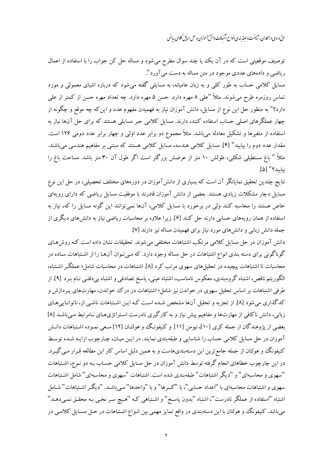حتی وردی و بمکاران ، شاخت و طبقه بندی انواع اشتیابات دانش آموزان در حل میایل کلامی رماضی

توصیف موقعیتی است که در آن یک یا چند سوال مطرح میشود و مساله حل کن جواب را با استفاده از اعمال ریاضی و دادههای عددی موجود در متن مساله به دست می آورد". مسایل کلامی حساب به طور کلبی و به زبان عامیانه، به مسایلی گفته میشود که درباره اشیای معمولی و مورد تماس روزمره طرح می شوند. مثلاً "علی ۸ مهره دارد. حسن ۵ مهره دارد. چه تعداد مهره حسن از کمتر از علی دارد؟" به منظور حل این نوع از مسایل، دانش آموزان نیاز به فهمیدن مفهوم عدد و این که چه موقع و چگونه از چهار عملگرهای اصلی حساب استفاده کنند، دارند. مسایل کلامی جبر مسایلی هستند که برای حل آنها نیاز به

استفاده از متغیرها و تشکیل معادله میباشد. مثلاً مجموع دو برابر عدد اولی و چهار برابر عدد دومی ۱۲۶ است. مقدار عدد دوم را بیابید" [۴]. مسایل کلامی هندسه، مسایل کلامی هستند که مبتنی بر مفاهیم هندسی میباشند. مثلاً " باغ مستطیلی شکلی، طولش ۱۰ متر از عرضش بزرگتر است اگر طول آن ۳۰ متر باشد. مساحت باغ را ساسد؟" [۵].

نتایج چندین تحقیق نمایانگر آن است که بسیاری از دانشآموزان در دورههای مختلف تحصیلی، در حل این نوع مسایل دچار مشکلات زیادی هستند. بعضی از دانش آموزان قادرند با موفقیت مسایل ریاضی که دارای رویهای خاص هستند را محاسبه کنند ولی در برخورد با مسایل کلامی، آنها نمیتوانند این گونه مسایل را که، نیاز به استفاده از همان رویههای حسابی دارند حل کنند [۶]. زیرا علاوه بر محاسبات ریاضی نیاز به دانش های دیگری از جمله دانش زبانی و دانشهای مورد نیاز برای فهمیدن مساله نیز دارند [۷].

دانش آموزان در حل مسایل کلامی مرتکب اشتباهات مختلفی می شوند. تحقیقات نشان داده است کـه روش هـای گوناگونی برای دسته بندی انواع اشتباهات در حل مساله وجود دارد. که مـیتـوان آنهـا را از اشـتباهات سـاده در محاسبات تا اشتباهات پیچیده در تحلیل های سهوی مرتب کرد [۸]. اشتباهات در محاسبات شامل؛ عملگ راشـتباه، الگوریتم ناقص، اشتباه گروهبندی، معکوس نامناسب، اشتباه عینی، پاسخ تصادفی و اشتباه بی دقتبی نـام بـرد [۹]. از طرفی اشتباهات بر اساس تحلیل سهوی در خواندن نیز شامل؛ اشتباهات در درک خواندن، مهارتهای پـردازش و کدگذاری میشود [۸]. از تجزیه و تحلیل آنها مشخص شـده اسـت کـه ایـن اشـتباهات ناشـی از، ناتوانـایی۵حـای زبانی، دانش ناکافی از مهارتها و مفاهیم پیش نیاز و به کارگیری نادرست استراتژیهای نـامرتبط مـی،باشـد [۸] بعضی از پژوهندگان از جمله کزی [۱۰]، نیومن [۱۱] و کنیفونگ و هولتـان [۱۲] سـعی نمـوده اشـتباهات دانـش آموزان در حل مسایل کلامی حساب را شناسایی و طبقهبندی نمایند. در ایـن میـان، چـارچوب ارایـه شـده توسـط کنیفونگ و هولتان از جمله جامع ترین این دستهبندیهاست و به همین دلیل اساس کار این مطالعه قـرار مـی گیـرد. در این چارچوب خطاهای انجام گرفته توسط دانش آموزان در حل مسایل کلامی حسـاب بـه دو نـوع، اشـتباهات "سهوي و محاسبهاي" و "ديگر اشتباهات" طبقهبندي شده است. اشتباهات "سهوي و محاسبهاي" شامل اشـتباهات سهوی و اشتباهات محاسبهای با "اعداد حسابی"، با "کسرها" و با "واحدها" مـیباشـد. "دیگـر اشـتباهات" شـامل اشتباه "استفاده از عملگر نادرست"، اشتباه "بدون پاسخ" و اشـتباهي کـه "هـيچ سـر نخـي بـه محقـق نمـيدهـد" می باشد. کنیفونگ و هولتان با این دستهبندی در واقع تمایز مهمی بین انـواع اشـتباهات در حـل مسـایل کلامـی در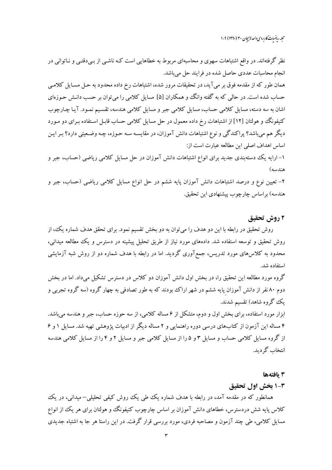محله رماضات کاربردی واحد لاسچان ۳۰ (۱۳۹۰) ۹-۱

نظر گرفتهاند. در واقع اشتباهات سهوی و محاسبهای مربوط به خطاهایی است کـه ناشـبی از بـبیدقتـبی و نــاتوانبی در انجام محاسبات عددي حاصل شده در فرايند حل مي باشد. همان طور که از مقدمه فوق بر می آید، در تحقیقات مرور شده، اشتباهات رخ داده محدود به حـل مسـایل کلامـی حساب شده است. در حالی که به گفته وانگ و همکاران [۵] مسایل کلامی را میتوان بر حسب دانـش حـوزهای اشان به سه دسته، مسایل کلامی حساب، مسایل کلامی جبر و مسایل کلامی هندسه، تقسیم نمـود. آیـا چـارچوب کنیفونگ وو هولتان [۱۲] از اشتباهات رخ داده معمول در حل مسایل کلامی حساب قابـل اسـتفاده بـرای دو مـورد دیگر هم میباشد؟ پراکندگی و نوع اشتباهات دانش آموزان، در مقایسـه سـه حـوزه، چـه وضـعیتی دارد؟ بـر ایـن اساس اهداف اصلی این مطالعه عبارت است از: ۱– ارایه یک دستهبندی جدید برای انواع اشتباهات دانش آموزان در حل مسایل کلامی ریاضی (حساب، جبر و هندسه) ۲- تعیین نوع و درصد اشتباهات دانش آموزان پایه ششم در حل انواع مسایل کلامی ریاضی (حساب، جبر و هندسه) براساس چارچوب پیشنهادی این تحقیق.

## ۲ روش تحقیق

روش تحقیق در رابطه با این دو هدف را می توان به دو بخش تقسیم نمود. برای تحقق هدف شماره یک، از روش تحقیق و توسعه استفاده شد. دادههای مورد نیاز از طریق تحلیل پیشینه در دسترس و یک مطالعه میدانی، محدود به کلاس۵ای مورد تدریس، جمعآوری گردید. اما در رابطه با هدف شماره دو از روش شبه آزمایشی استفاده شد.

گروه مورد مطالعه این تحقیق را، در بخش اول دانش آموزان دو کلاس در دسترس تشکیل میداد. اما در بخش دوم ۸۰ نفر از دانش آموزان پایه ششم در شهر اراک بودند که به طور تصادفی به چهار گروه (سه گروه تجربی و یک گروه شاهد) تقسیم شدند.

ابزار مورد استفاده، برای بخش اول و دوم، متشکل از ۶ مساله کلامی، از سه حوزه حساب، جبر و هندسه می باشد. ۴ مساله این آزمون از کتابهای درسی دوره راهنمایی و ۲ مساله دیگر از ادبیات پژوهشی تهیه شد. مسایل ۱ و ۶ از گروه مسایل کلامی حساب و مسایل ۳ و ۵ را از مسایل کلامی جبر و مسایل ۲ و ۴ را از مسایل کلامی هندسه انتخاب گر ديد.

#### 3 يافتهها

## 1-3 بخش اول تحقيق

همانطور که در مقدمه آمد، در رابطه با هدف شماره یک طی یک روش کیفی تحلیلی– میدانی، در یک کلاس پایه شش دردسترس، خطاهای دانش آموزان بر اساس چارچوب کنیفونگ و هولتان برای هر یک از انواع مسایل کلامی، طی چند آزمون و مصاحبه فردی، مورد بررسی قرار گرفت. در این راستا هر جا به اشتباه جدیدی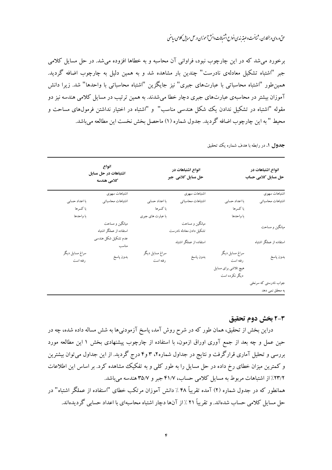حتی وردی و بمکاران ، شاخت و طبقه بندی انواع اشتیابات دانش آموزان در حل میایل کلامی رماضی

برخورد می شد که در این چارچوب نبود، فراوانی آن محاسبه و به خطاها افزوده می شد. در حل مسایل کلامی جبر "اشتباه تشکیل معادلهی نادرست" چندین بار مشاهده شد و به همین دلیل به چارچوب اضافه گردید. همین طور "اشتباه محاسباتی با عبارتهای جبری" نیز جایگزین "اشتباه محاسباتی با واحدها" شد. زیرا دانش آموزان بیشتر در محاسبهی عبارتهای جبری دچار خطا می شدند. به همین ترتیب در مسایل کلامی هندسه نیز دو مقوله "اشتباه در تشکیل ندادن یک شکل هندسی مناسب" و "اشتباه در اختیار نداشتن فرمولهای مساحت و محيط " به اين چارچوب اضافه گرديد. جدول شماره (١) ماحصل بخش نخست اين مطالعه مي باشد.

| انواع اشتباهات در<br>حل مسایل کلامی حساب   |                                                                       | انواع اشتباهات در<br>حل مسایل کلامی جبر                                |                             | انواع<br>اشتباهات در حل مسایل<br>كلامى هندسه                      |                             |  |
|--------------------------------------------|-----------------------------------------------------------------------|------------------------------------------------------------------------|-----------------------------|-------------------------------------------------------------------|-----------------------------|--|
| اشتباهات سهوى                              |                                                                       | اشتباهات سهوى                                                          |                             | اشتباهات سهوى                                                     |                             |  |
| اشتباهات محاسباتي                          | با اعداد حسابی                                                        | اشتباهات محاسباتي                                                      | با اعداد حسابی              | اشتباهات محاسباتي                                                 | با اعداد حسابی              |  |
|                                            | با کسرها                                                              |                                                                        | با کسرها                    |                                                                   | با کسرها                    |  |
|                                            | با واحدها                                                             |                                                                        | با عبارت های جبری           |                                                                   | با واحدها                   |  |
| میانگین و مساحت<br>استفاده از عملگر اشتباه |                                                                       | میانگین و مساحت<br>تشكيل دادن معادله نادرست<br>استفاده از عملگر اشتباه |                             | میانگین و مساحت<br>استفاده از عملگر اشتباه<br>عدم تشكيل شكل هندسي |                             |  |
| بدون پاسخ                                  | سراغ مسايل ديگر<br>رفته است<br>هیچ تلاشی برای مسایل<br>دیگر نکرده است | بدون پاسخ                                                              | سراغ مسايل ديگر<br>رفته است | مناسب<br>بدون پاسخ                                                | سراغ مسايل ديگر<br>رفته است |  |
| جواب نادرستی که سرنخی                      |                                                                       |                                                                        |                             |                                                                   |                             |  |
| به محقق نمی دهد                            |                                                                       |                                                                        |                             |                                                                   |                             |  |

جدول 1. در رابطه با هدف شماره یک تحقیق

### 2-3 بخش دوم تحقيق

دراین بخش از تحقیق، همان طور که در شرح روش آمد، پاسخ آزمودنیها به شش مساله داده شده، چه در حین عمل و چه بعد از جمع آوری اوراق ازمون، با استفاده از چارچوب پیشنهادی بخش ۱ این مطالعه مورد بررسی و تحلیل آماری قرارگرفت و نتایج در جداول شماره۲، ۳ و۴ درج گردید. از این جداول میتوان بیشترین و کمترین میزان خطای رخ داده در حل مسایل را به طور کلبی و به تفکیک مشاهده کرد. بر اساس این اطلاعات ۲۳/۲٪ از اشتباهات مربوط به مسایل کلامی حساب، ۴۱/۷ جبر و ۳۵/۷ هندسه میباشد. همانطور که در جدول شماره (۲) آمده تقریباً ۴۸٪ دانش آموزان مرتکب خطای "استفاده از عملگر اشتباه" در حل مسایل کلامی حساب شدهاند. و تقریباً ۲۱ ٪ از آنها دچار اشتباه محاسبهای با اعداد حسابی گردیدهاند.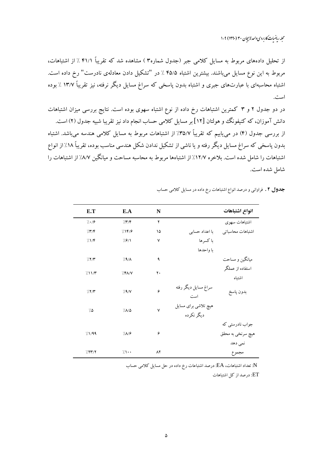محله رماضات کاربردی واحد لاسچان ۳۰ (۱۳۹۰) ۹-۱

از تحلیل دادههای مربوط به مسایل کلامی جبر (جدول شماره۳ ) مشاهده شد که تقریباً ۴۱/۱ ٪ از اشتباهات، مربوط به این نوع مسایل می،باشند. بیشترین اشتباه ۴۵/۵ ٪ در "تشکیل دادن معادلهی نادرست" رخ داده است. اشتباه محاسبهای با عبارتهای جبری و اشتباه بدون پاسخی که سراغ مسایل دیگر نرفته، نیز تقریباً ۱۳/۷ ٪ بوده است.

در دو جدول ۲ و ۳ کمترین اشتباهات رخ داده از نوع اشتباه سهوی بوده است. نتایج بررسی میزان اشتباهات دانش آموزان، که کنیفونگ و هولتان [۱۲] بر مسایل کلامی حساب انجام داد نیز تقریبا شبیه جدول (۲) است. از بررسی جدول (۴) در می یابیم که تقریباً ۳۵/۷٪ از اشتباهات مربوط به مسایل کلامی هندسه می باشد. اشتباه بدون پاسخی که سراغ مسایل دیگر رفته و یا ناشی از تشکیل ندادن شکل هندسی مناسب بوده، تقریباً ۱۸٪ از انواع اشتباهات را شامل شده است. بلاخره ۱۲/۷٪ از اشتباهها مربوط به محاسبه مساحت و میانگین ۸/۷٪ از اشتباهات را شامل شده است.

| E.T       | E.A                     | N         |                                    | انواع اشتباهات    |
|-----------|-------------------------|-----------|------------------------------------|-------------------|
| 7.19      | $/\Upsilon/\Upsilon$    | ۲         |                                    | اشتباهات سهوى     |
| 777       | 7197                    | ۱۵        | با اعداد حسابی                     | اشتباهات محاسباتى |
| 717       | 7.9/1                   | ٧         | با کسرها                           |                   |
|           |                         |           | با واحدها                          |                   |
| 777       | 79/                     | ٩         |                                    | میانگین و مساحت   |
|           | 7.8A/V                  | ٢.        |                                    | استفاده از عملگر  |
| 711/T     |                         |           |                                    | اشتباه            |
| 777       | /1                      | ۶         | سراغ مسايل ديگر رفته<br>است        | بدون پاسخ         |
| $7\Delta$ | 7/10                    | ٧         | هیچ تلاشی برای مسایل<br>دیگر نکرده |                   |
|           |                         |           |                                    | جواب نادرستی که   |
| 71/99     | $1/\Lambda$ / $\hat{z}$ | ۶         |                                    | هیچ سرنخی به محقق |
|           |                         |           |                                    | نمی دهد           |
| 7577      | $\gamma \rightarrow$    | $\Lambda$ |                                    | مجموع             |

**جدول ۲ .** فراوانی و درصد انواع اشتباهات رخ داده در مسایل کلامی حساب

N: تعداد اشتباهات، EA: درصد اشتباعات رخ داده در حل مسايل كلامي حساب

ET: درصد از کل اشتباهات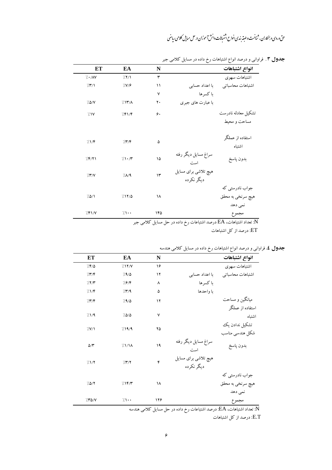| انواع اشتباهات      |                             | N   | EA         | ET    |
|---------------------|-----------------------------|-----|------------|-------|
| اشتباهات سهوى       |                             | ٣   | 711        | 1.1   |
| اشتباهات محاسباتي   | با اعداد حسابی              | ۱۱  | 7/19       | 77/1  |
|                     | با کسرها                    | ٧   |            |       |
|                     | با عبارت های جبری           | ٢٠  | 717/A      | 7.0/V |
| تشكيل معادله نادرست |                             | ۶.  | 751/F      | 7.1V  |
| مساحت و محيط        |                             |     |            |       |
| استفاده از عملگر    |                             | ۵   | 7.77       | 7.1/F |
| اشتباه              |                             |     |            |       |
| بدون پاسخ           | سراغ مسايل ديگر رفته<br>است | ۱۵  | 71.7       | 7.8/1 |
|                     | هیچ تلاشی برای مسایل        | ۱۳  | 7/19       | 77/   |
|                     | دیگر نکرده                  |     |            |       |
| جواب نادرستی که     |                             |     |            |       |
| هيچ سرنخي به محقق   |                             | ١٨  | 711/0      | 70/1  |
| نمی دهد             |                             |     |            |       |
| مجموع               |                             | ۱۴۵ | $7 \cdots$ | 751/V |

**جدول ۳** . فراوانی و درصد انواع اشتباهات رخ داده در مسایل کلامی جبر

خ داده در حل مسایل کلامی جبر

ET: درصد از کل اشتباهات

| <b>جدول ٤.</b> فراوانی و درصد انواع اشتباهات رخ داده در مسایل کلامی هندسه |  |
|---------------------------------------------------------------------------|--|
|                                                                           |  |

| انواع اشتباهات    |                      | N   | EA         | ET                   |
|-------------------|----------------------|-----|------------|----------------------|
| اشتباهات سهوى     |                      | ۱۶  | 7117/      | 76/0                 |
| اشتباهات محاسباتي | با اعداد حسابی       | ۱۲  | 79/0       | 777                  |
|                   | با کسرها             | ٨   | 797        | 777                  |
|                   | با واحدها            | ۵   | 7779       | 717                  |
| میانگین و مساحت   |                      | ۱۲  | 79/0       | 777                  |
| استفاده از عملگر  |                      |     |            |                      |
| اشتباه            |                      | ٧   | 70/2       | 71/9                 |
| تشكيل ندادن يك    |                      | ۲۵  |            |                      |
| شكل هندسي مناسب   |                      |     | 719/9      | $\frac{1}{\sqrt{2}}$ |
| بدون پاسخ         | سراغ مسايل ديگر رفته | ۱۹  | 71/1       | $\Delta/\Upsilon$    |
|                   | است                  |     |            |                      |
|                   | هیچ تلاشی برای مسایل | ۴   | 777        | 71/7                 |
|                   | دیگر نکرده           |     |            |                      |
| جواب نادرستی که   |                      |     |            |                      |
| هيچ سرنخي به محقق |                      | ۱۸  | 7.18/T     | 70/7                 |
| نمی دهد           |                      |     |            |                      |
| مجموع             |                      | ۱۲۶ | $7 \cdots$ | 770/V                |

تعداد اشتباهات، EA: درصد اشتباعات رخ داده در حل مسايل كلامي هندسه: $\rm \overline{N}$ 

E.T: درصد از کل اشتباهات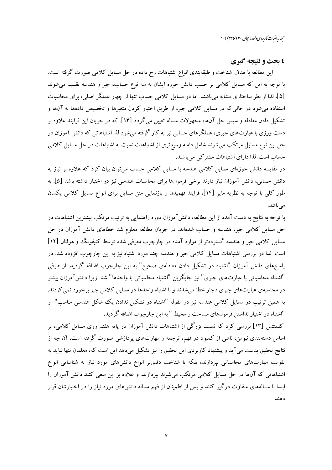محله رماضات کاربردی واحد لاسچان ۳۰ (۱۳۹۰) ۹-۱

## ٤ بحث و نتيجه گيري

این مطالعه با هدف شناخت و طبقهبندی انواع اشتباهات رخ داده در حل مسایل کلامی صورت گرفته است. با توجه به این که مسایل کلامی بر حسب دانش حوزه ایشان به سه نوع حساب، جبر و هندسه تقسیم میشوند [۵]، لذا از نظر ساختاری مشابه میباشند. اما در مسایل کلامی حساب تنها از چهار عملگر اصلی، برای محاسبات استفاده می شود در حالی که در مسایل کلامی جبر، از طریق اختیار کردن متغیرها و تخصیص دادهها به آنها و تشکیل دادن معادله و سپس حل آنها، مجهولات مساله تعیین می گردد [۱۳]. که در جریان این فرایند علاوه بر دست ورزی با عبارتهای جبری، عملگرهای حسابی نیز به کار گرفته می شود لذا اشتباهاتی که دانش آموزان در حل این نوع مسایل مرتکب می شوند شامل دامنه وسیع تری از اشتباهات نسبت به اشتباهات در حل مسایل کلامی حساب است. لذا دارای اشتباهات مشتر کی می باشند.

در مقایسه دانش حوزهای مسایل کلامی هندسه با مسایل کلامی حساب میتوان بیان کرد که علاوه بر نیاز به دانش حسابی، دانش آموزان نیاز دارند برخی فرمولها برای محاسبات هندسی نیز در اختیار داشته باشد [۵]. به طور کلبی با توجه به نظریه مایر [۱۴]، فرایند فهمیدن و بازنمایی متن مسایل برای انواع مسایل کلامی یکسان مىباشد.

با توجه به نتایج به دست آمده از این مطالعه، دانش آموزان دوره راهنمایی به ترتیب مرتکب بیشترین اشتباهات در حل مسایل کلامی جبر، هندسه و حساب شدهاند. در جریان مطالعه معلوم شد خطاهای دانش آموزان در حل مسایل کلامی جبر و هندسه گستردهتر از موارد آمده در چارچوب معرفی شده توسط کنیفونگ و هولتان [۱۲] است. لذا در بررسی اشتباهات مسایل کلامی جبر و هندسه چند مورد اشتباه نیز به این چارچوب افزوده شد. در پاسخهای دانش آموزان "اشتباه در تشکیل دادن معادلهی صحیح" به این چارچوب اضافه گردید. از طرفی "اشتباه محاسباتی با عبارتهای جبری" نیز جایگزین "اشتباه محاسباتی با واحدها" شد. زیرا دانش آموزان بیشتر در محاسبهی عبارتهای جبری دچار خطا میشدند و با اشتباه واحدها در مسایل کلامی جبر برخورد نمی کردند. به همین ترتیب در مسایل کلامی هندسه نیز دو مقوله "اشتباه در تشکیل ندادن یک شکل هندسی مناسب" و "اشتباه در اختیار نداشتن فرمول%ای مساحت و محیط " به این چارچوب اضافه گردید.

کلمنتس [۱۳] بررسی کرد که نسبت بزرگی از اشتباهات دانش آموزان در پایه هفتم روی مسایل کلامی، بر اساس دستهبندی نیومن، ناشی از کمبود در فهم، ترجمه و مهارتهای پردازشی صورت گرفته است. آن چه از نتايج تحقيق بدست مي آيد و پيشنهاد كاربردي اين تحقيق را نيز تشكيل ميدهد اين است كه، معلمان تنها نبايد به تقویت مهارتهای محاسباتی بیردازند، بلکه با شناخت دقیقتر انواع دانشهای مورد نیاز به شناسایی انواع اشتباهاتی که آنها در حل مسایل کلامی مرتکب می شوند بیردازند. و علاوه بر این سعی کنند دانش آموزان را ابتدا با مسالههای متفاوت درگیر کنند و پس از اطمینان از فهم مساله دانش۵های مورد نیاز را در اختیارشان قرار دهند.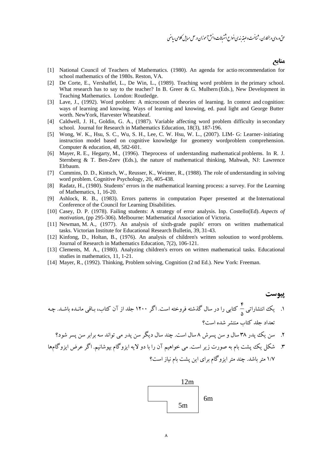#### منابع

- [1] National Council of Teachers of Mathematics. (1980). An agenda for actio recommendation for school mathematics of the 1980s. Reston, VA.
- [2] De Corte, E., Vershaffel, L., De Win, L., (1989). Teaching word problem in the primary school. What research has to say to the teacher? In B. Greer & G. Mulhern (Eds.), New Development in Teaching Mathematics. London: Routledge.
- [3] Lave, J., (1992). Word problem: A microcosm of theories of learning. In context and cognition: ways of learning and knowing. Ways of learning and knowing, ed. paul light and George Butter worth. NewYork, Harvester Wheatsheaf.
- [4] Caldwell, J. H., Goldin, G. A., (1987). Variable affecting word problem difficulty in secondary school. Journal for Research in Mathematics Education*,* 18(3), 187-196.
- [5] Wong, W. K., Hsu, S. C., Wu, S. H., Lee, C. W. Hsu, W. L., (2007). LIM- G: Learner- initiating instruction model based on cognitive knowledge for geometry wordproblem comprehension. Computer & education, 48, 582-601.
- [6] Mayer, R. E., Hegarty, M., (1996). Theprocess of understanding mathematical problems. In R. J. Sternberg & T. Ben-Zeev (Eds.), the nature of mathematical thinking, Mahwah, NJ: Lawrence Elrbaum.
- [7] Cummins, D. D., Kintsch, W., Reusser, K., Weimer, R., (1988). The role of understanding in solving word problem. Cognitive Psychology, 20, 405-438.
- [8] Radatz, H., (1980). Students' errors in the mathematical learning process: a survey. For the Learning of Mathematics, 1, 16-20.
- [9] Ashlock, R. B., (1983). Errors patterns in computation Paper presented at the International Conference of the Council for Learning Disabilities.
- [10] Casey, D. P. (1978). Failing students: A strategy of error analysis. Inp. Costello(Ed). *Aspects of motivation*, (pp 295-306). Melbourne: Mathematical Association of Victoria.
- [11] Newman, M. A., (1977). An analysis of sixth-grade pupils' errors on written mathematical tasks. Victorian Institute for Educational Research Bulletin, 39, 31-43.
- [12] Kinfong, D., Holtan, B., (1976). An analysis of children's written soloution to word problems*.* Journal of Research in Mathematics Education, 7(2), 106-121.
- [13] Clements, M. A., (1980). Analyzing children's errors on written mathematical tasks. Educational studies in mathematics, 11, 1-21.
- [14] Mayer, R., (1992). Thinking, Problem solving, Cognition (2 nd Ed.). New York: Freeman.

## **پيوست** ۴<br>۱. یک انتشاراتی <mark>-</mark>  $\delta$ کتابی را در سال گذشته فروخته است. اگر ۱۲۰۰ جلد از آن کتاب، بـاقی مانـده باشـد. چـه تعداد حلد كتاب منتشر شده است؟

- ۲. سن یک پدر ۳۸ سال و سن پسرش ۸ سال است. چند سال دیگر سن پدر می تواند سه برابر سن پسر شود؟
- ۳. شکل یک پشت بام به صورت زیر است. می خواهیم آن را با دو لایه ایزوگام بپوشانیم. اگر عرض ایزوگامها ۱/۷ متر باشد. چند متر ایزوگام برای این پشت بام نیاز است؟